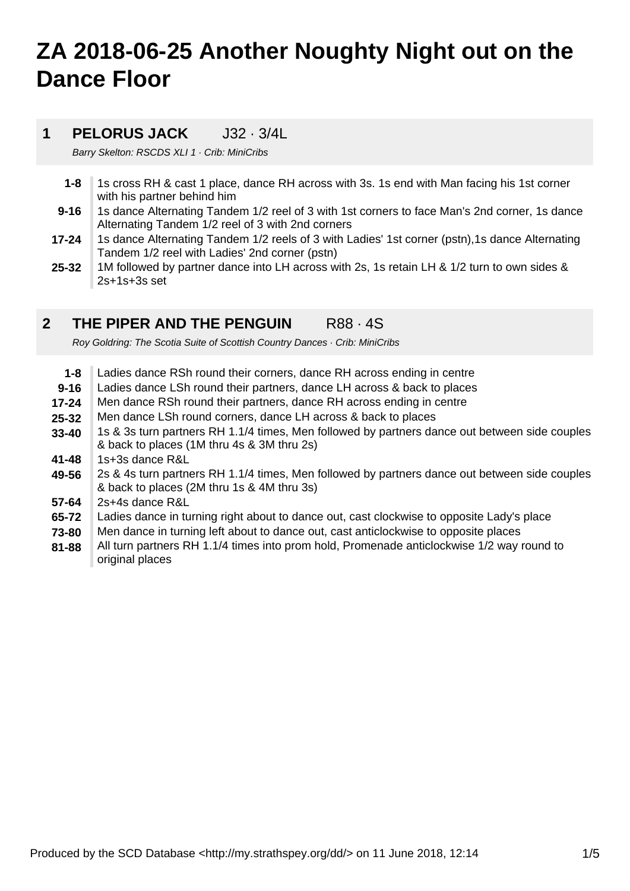# **ZA 2018-06-25 Another Noughty Night out on the Dance Floor**

### **1 PELORUS JACK** J32 · 3/4L

Barry Skelton: RSCDS XLI 1 · Crib: MiniCribs

- **1-8** 1s cross RH & cast 1 place, dance RH across with 3s. 1s end with Man facing his 1st corner with his partner behind him
- **9-16** 1s dance Alternating Tandem 1/2 reel of 3 with 1st corners to face Man's 2nd corner, 1s dance Alternating Tandem 1/2 reel of 3 with 2nd corners
- **17-24** 1s dance Alternating Tandem 1/2 reels of 3 with Ladies' 1st corner (pstn),1s dance Alternating Tandem 1/2 reel with Ladies' 2nd corner (pstn)
- **25-32** 1M followed by partner dance into LH across with 2s, 1s retain LH & 1/2 turn to own sides & 2s+1s+3s set

#### **2 THE PIPER AND THE PENGUIN R88 · 4S**

Roy Goldring: The Scotia Suite of Scottish Country Dances · Crib: MiniCribs

- **1-8** Ladies dance RSh round their corners, dance RH across ending in centre
- **9-16** Ladies dance LSh round their partners, dance LH across & back to places
- **17-24** Men dance RSh round their partners, dance RH across ending in centre
- **25-32** Men dance LSh round corners, dance LH across & back to places
- **33-40** 1s & 3s turn partners RH 1.1/4 times, Men followed by partners dance out between side couples & back to places (1M thru 4s & 3M thru 2s)
- **41-48** 1s+3s dance R&L
- **49-56** 2s & 4s turn partners RH 1.1/4 times, Men followed by partners dance out between side couples & back to places (2M thru 1s & 4M thru 3s)
- **57-64** 2s+4s dance R&L
- **65-72** Ladies dance in turning right about to dance out, cast clockwise to opposite Lady's place
- **73-80** Men dance in turning left about to dance out, cast anticlockwise to opposite places
- **81-88** All turn partners RH 1.1/4 times into prom hold, Promenade anticlockwise 1/2 way round to original places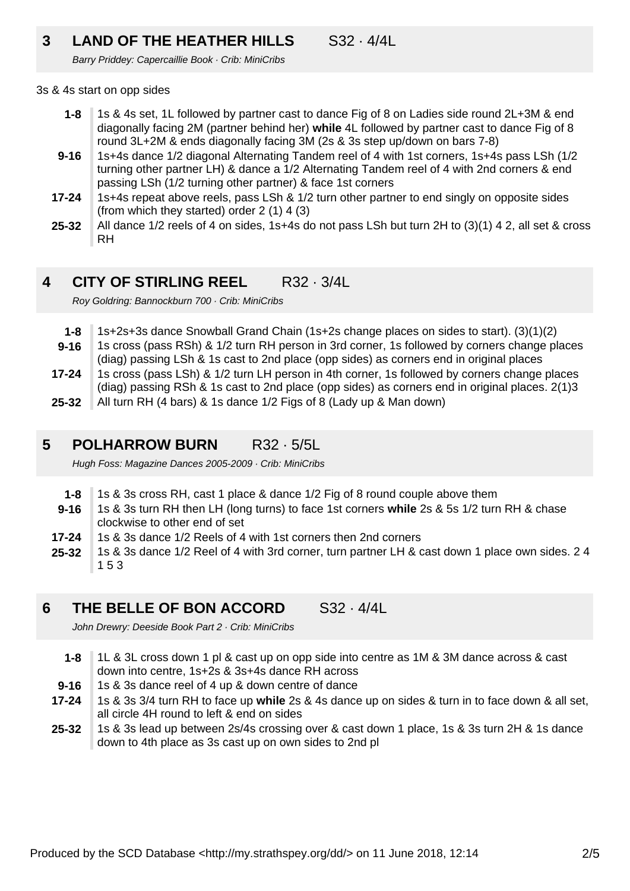### **3 LAND OF THE HEATHER HILLS** S32 · 4/4L

Barry Priddey: Capercaillie Book · Crib: MiniCribs

### 3s & 4s start on opp sides

- **1-8** 1s & 4s set, 1L followed by partner cast to dance Fig of 8 on Ladies side round 2L+3M & end diagonally facing 2M (partner behind her) **while** 4L followed by partner cast to dance Fig of 8 round 3L+2M & ends diagonally facing 3M (2s & 3s step up/down on bars 7-8)
- **9-16** 1s+4s dance 1/2 diagonal Alternating Tandem reel of 4 with 1st corners, 1s+4s pass LSh (1/2 turning other partner LH) & dance a 1/2 Alternating Tandem reel of 4 with 2nd corners & end passing LSh (1/2 turning other partner) & face 1st corners
- **17-24** 1s+4s repeat above reels, pass LSh & 1/2 turn other partner to end singly on opposite sides (from which they started) order 2 (1) 4 (3)
- **25-32** All dance 1/2 reels of 4 on sides, 1s+4s do not pass LSh but turn 2H to (3)(1) 4 2, all set & cross RH

#### **4 CITY OF STIRLING REEL** R32 · 3/4L

Roy Goldring: Bannockburn 700 · Crib: MiniCribs

- **1-8** 1s+2s+3s dance Snowball Grand Chain (1s+2s change places on sides to start). (3)(1)(2)
- **9-16** 1s cross (pass RSh) & 1/2 turn RH person in 3rd corner, 1s followed by corners change places
- (diag) passing LSh & 1s cast to 2nd place (opp sides) as corners end in original places
- **17-24** 1s cross (pass LSh) & 1/2 turn LH person in 4th corner, 1s followed by corners change places (diag) passing RSh & 1s cast to 2nd place (opp sides) as corners end in original places. 2(1)3
- **25-32** All turn RH (4 bars) & 1s dance 1/2 Figs of 8 (Lady up & Man down)

#### **5 POLHARROW BURN** R32 · 5/5L

Hugh Foss: Magazine Dances 2005-2009 · Crib: MiniCribs

- **1-8** 1s & 3s cross RH, cast 1 place & dance 1/2 Fig of 8 round couple above them
- **9-16** 1s & 3s turn RH then LH (long turns) to face 1st corners **while** 2s & 5s 1/2 turn RH & chase clockwise to other end of set
- **17-24** 1s & 3s dance 1/2 Reels of 4 with 1st corners then 2nd corners
- **25-32** 1s & 3s dance 1/2 Reel of 4 with 3rd corner, turn partner LH & cast down 1 place own sides. 2 4 1 5 3

#### **6 THE BELLE OF BON ACCORD** S32 · 4/4L

John Drewry: Deeside Book Part 2 · Crib: MiniCribs

- **1-8** 1L & 3L cross down 1 pl & cast up on opp side into centre as 1M & 3M dance across & cast down into centre, 1s+2s & 3s+4s dance RH across
- **9-16** 1s & 3s dance reel of 4 up & down centre of dance
- **17-24** 1s & 3s 3/4 turn RH to face up **while** 2s & 4s dance up on sides & turn in to face down & all set, all circle 4H round to left & end on sides
- **25-32** 1s & 3s lead up between 2s/4s crossing over & cast down 1 place, 1s & 3s turn 2H & 1s dance down to 4th place as 3s cast up on own sides to 2nd pl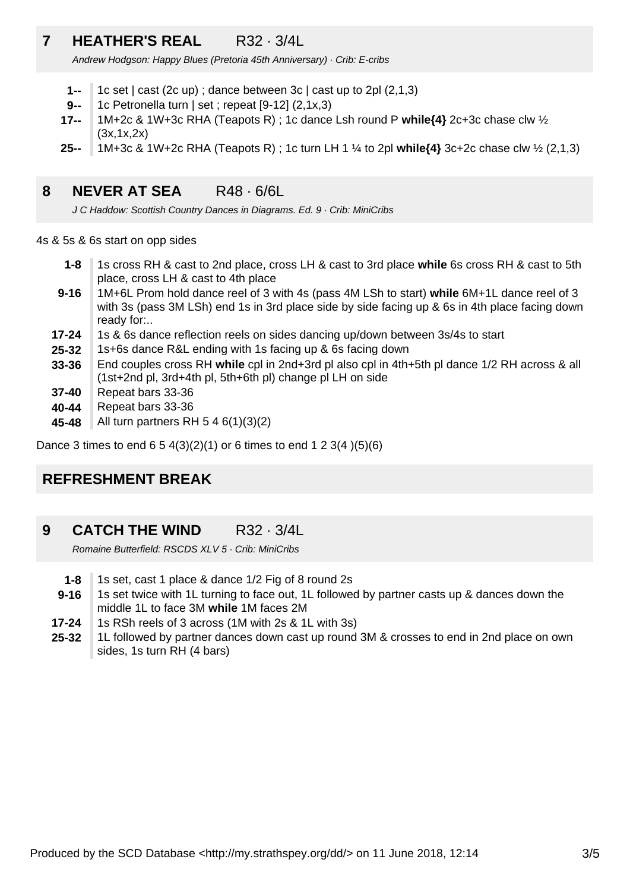### **7 HEATHER'S REAL** R32 · 3/4L

Andrew Hodgson: Happy Blues (Pretoria 45th Anniversary) · Crib: E-cribs

- **1--** 1c set  $|$  cast (2c up); dance between 3c  $|$  cast up to 2pl  $(2,1,3)$
- **9--** 1c Petronella turn | set ; repeat [9-12] (2,1x,3)
- **17--** 1M+2c & 1W+3c RHA (Teapots R) ; 1c dance Lsh round P **while{4}** 2c+3c chase clw ½ (3x,1x,2x)
- **25--** 1M+3c & 1W+2c RHA (Teapots R) ; 1c turn LH 1 ¼ to 2pl **while{4}** 3c+2c chase clw ½ (2,1,3)

### **8 NEVER AT SEA** R48 · 6/6L

J C Haddow: Scottish Country Dances in Diagrams. Ed. 9 · Crib: MiniCribs

4s & 5s & 6s start on opp sides

- **1-8** 1s cross RH & cast to 2nd place, cross LH & cast to 3rd place **while** 6s cross RH & cast to 5th place, cross LH & cast to 4th place
- **9-16** 1M+6L Prom hold dance reel of 3 with 4s (pass 4M LSh to start) **while** 6M+1L dance reel of 3 with 3s (pass 3M LSh) end 1s in 3rd place side by side facing up & 6s in 4th place facing down ready for:..
- **17-24** 1s & 6s dance reflection reels on sides dancing up/down between 3s/4s to start
- **25-32** 1s+6s dance R&L ending with 1s facing up & 6s facing down
- **33-36** End couples cross RH **while** cpl in 2nd+3rd pl also cpl in 4th+5th pl dance 1/2 RH across & all (1st+2nd pl, 3rd+4th pl, 5th+6th pl) change pl LH on side
- **37-40** Repeat bars 33-36
- **40-44** Repeat bars 33-36
- **45-48** All turn partners RH 5 4 6(1)(3)(2)

Dance 3 times to end  $6\ 5\ 4(3)(2)(1)$  or 6 times to end  $1\ 2\ 3(4)(5)(6)$ 

### **REFRESHMENT BREAK**

**9 CATCH THE WIND R32 · 3/4L** 

Romaine Butterfield: RSCDS XLV 5 · Crib: MiniCribs

- **1-8** 1s set, cast 1 place & dance 1/2 Fig of 8 round 2s
- **9-16** 1s set twice with 1L turning to face out, 1L followed by partner casts up & dances down the middle 1L to face 3M **while** 1M faces 2M
- **17-24** 1s RSh reels of 3 across (1M with 2s & 1L with 3s)
- **25-32** 1L followed by partner dances down cast up round 3M & crosses to end in 2nd place on own sides, 1s turn RH (4 bars)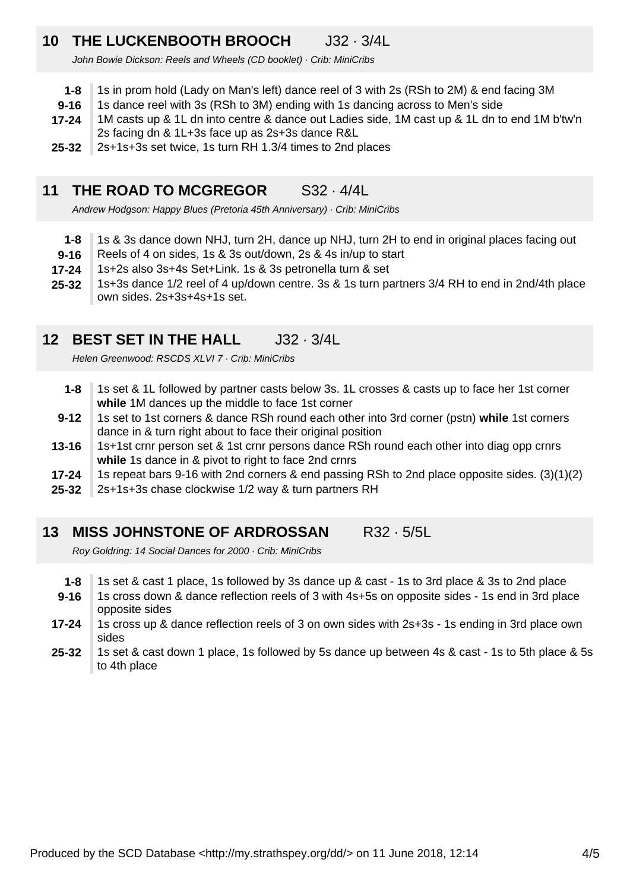### **10 THE LUCKENBOOTH BROOCH** J32 · 3/4L

John Bowie Dickson: Reels and Wheels (CD booklet) · Crib: MiniCribs

- **1-8** 1s in prom hold (Lady on Man's left) dance reel of 3 with 2s (RSh to 2M) & end facing 3M
- **9-16** 1s dance reel with 3s (RSh to 3M) ending with 1s dancing across to Men's side
- **17-24** 1M casts up & 1L dn into centre & dance out Ladies side, 1M cast up & 1L dn to end 1M b'tw'n 2s facing dn & 1L+3s face up as 2s+3s dance R&L
- **25-32** 2s+1s+3s set twice, 1s turn RH 1.3/4 times to 2nd places

### **11 THE ROAD TO MCGREGOR** S32 · 4/4L

Andrew Hodgson: Happy Blues (Pretoria 45th Anniversary) · Crib: MiniCribs

- **1-8** 1s & 3s dance down NHJ, turn 2H, dance up NHJ, turn 2H to end in original places facing out
- **9-16** Reels of 4 on sides, 1s & 3s out/down, 2s & 4s in/up to start
- **17-24** 1s+2s also 3s+4s Set+Link. 1s & 3s petronella turn & set
- **25-32** 1s+3s dance 1/2 reel of 4 up/down centre. 3s & 1s turn partners 3/4 RH to end in 2nd/4th place own sides. 2s+3s+4s+1s set.

### **12 BEST SET IN THE HALL J32 · 3/4L**

Helen Greenwood: RSCDS XLVI 7 · Crib: MiniCribs

- **1-8** 1s set & 1L followed by partner casts below 3s. 1L crosses & casts up to face her 1st corner **while** 1M dances up the middle to face 1st corner
- **9-12** 1s set to 1st corners & dance RSh round each other into 3rd corner (pstn) **while** 1st corners dance in & turn right about to face their original position
- **13-16** 1s+1st crnr person set & 1st crnr persons dance RSh round each other into diag opp crnrs **while** 1s dance in & pivot to right to face 2nd crnrs
- **17-24** 1s repeat bars 9-16 with 2nd corners & end passing RSh to 2nd place opposite sides. (3)(1)(2)
- **25-32** 2s+1s+3s chase clockwise 1/2 way & turn partners RH
- **13 MISS JOHNSTONE OF ARDROSSAN** R32 · 5/5L

Roy Goldring: 14 Social Dances for 2000 · Crib: MiniCribs

- **1-8** 1s set & cast 1 place, 1s followed by 3s dance up & cast - 1s to 3rd place & 3s to 2nd place
- **9-16** 1s cross down & dance reflection reels of 3 with 4s+5s on opposite sides - 1s end in 3rd place opposite sides
- **17-24** 1s cross up & dance reflection reels of 3 on own sides with 2s+3s - 1s ending in 3rd place own sides
- **25-32** 1s set & cast down 1 place, 1s followed by 5s dance up between 4s & cast - 1s to 5th place & 5s to 4th place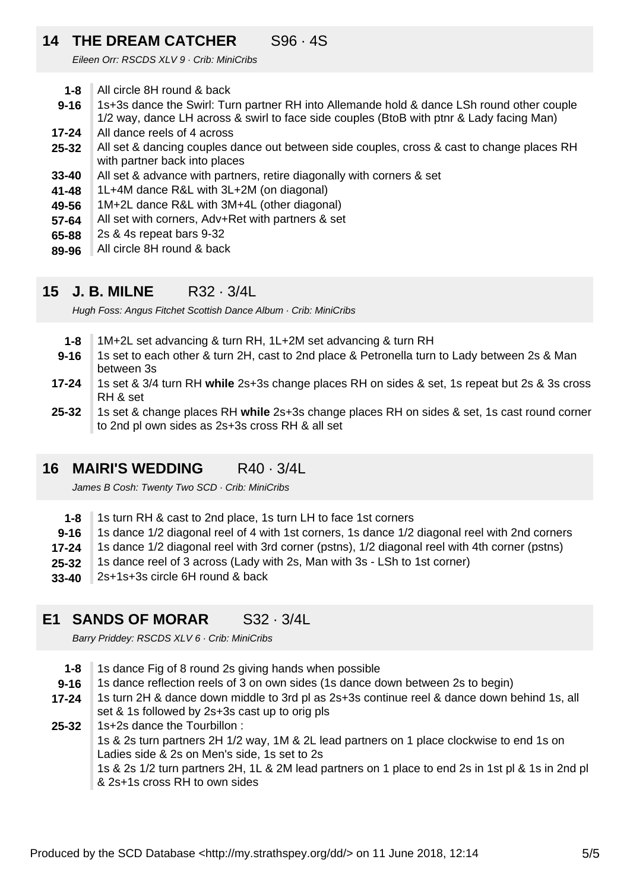### **14 THE DREAM CATCHER** S96 · 4S

Eileen Orr: RSCDS XLV 9 · Crib: MiniCribs

- **1-8** All circle 8H round & back
- **9-16** 1s+3s dance the Swirl: Turn partner RH into Allemande hold & dance LSh round other couple 1/2 way, dance LH across & swirl to face side couples (BtoB with ptnr & Lady facing Man)
- **17-24** All dance reels of 4 across
- **25-32** All set & dancing couples dance out between side couples, cross & cast to change places RH with partner back into places
- **33-40** All set & advance with partners, retire diagonally with corners & set
- **41-48** 1L+4M dance R&L with 3L+2M (on diagonal)
- **49-56** 1M+2L dance R&L with 3M+4L (other diagonal)
- **57-64** All set with corners, Adv+Ret with partners & set
- **65-88** 2s & 4s repeat bars 9-32
- **89-96** All circle 8H round & back

#### **15 J. B. MILNE** R32 · 3/4L

Hugh Foss: Angus Fitchet Scottish Dance Album · Crib: MiniCribs

- **1-8** 1M+2L set advancing & turn RH, 1L+2M set advancing & turn RH
- **9-16** 1s set to each other & turn 2H, cast to 2nd place & Petronella turn to Lady between 2s & Man between 3s
- **17-24** 1s set & 3/4 turn RH **while** 2s+3s change places RH on sides & set, 1s repeat but 2s & 3s cross RH & set
- **25-32** 1s set & change places RH **while** 2s+3s change places RH on sides & set, 1s cast round corner to 2nd pl own sides as 2s+3s cross RH & all set

#### **16 MAIRI'S WEDDING** R40 · 3/4L

James B Cosh: Twenty Two SCD · Crib: MiniCribs

- **1-8** 1s turn RH & cast to 2nd place, 1s turn LH to face 1st corners
- **9-16** 1s dance 1/2 diagonal reel of 4 with 1st corners, 1s dance 1/2 diagonal reel with 2nd corners
- **17-24** 1s dance 1/2 diagonal reel with 3rd corner (pstns), 1/2 diagonal reel with 4th corner (pstns)
- **25-32** 1s dance reel of 3 across (Lady with 2s, Man with 3s - LSh to 1st corner)
- **33-40** 2s+1s+3s circle 6H round & back

#### **E1 SANDS OF MORAR** S32 · 3/4L

Barry Priddey: RSCDS XLV 6 · Crib: MiniCribs

- **1-8** 1s dance Fig of 8 round 2s giving hands when possible
- **9-16** 1s dance reflection reels of 3 on own sides (1s dance down between 2s to begin)
- **17-24** 1s turn 2H & dance down middle to 3rd pl as 2s+3s continue reel & dance down behind 1s, all set & 1s followed by 2s+3s cast up to orig pls
- **25-32** 1s+2s dance the Tourbillon : 1s & 2s turn partners 2H 1/2 way, 1M & 2L lead partners on 1 place clockwise to end 1s on Ladies side & 2s on Men's side, 1s set to 2s 1s & 2s 1/2 turn partners 2H, 1L & 2M lead partners on 1 place to end 2s in 1st pl & 1s in 2nd pl & 2s+1s cross RH to own sides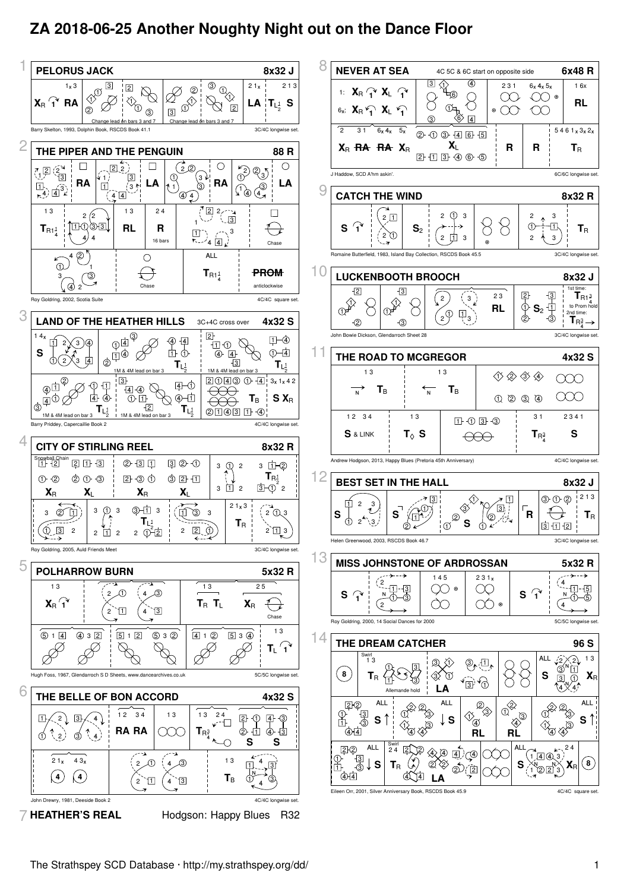## **ZA 2018-06-25 Another Noughty Night out on the Dance Floor**